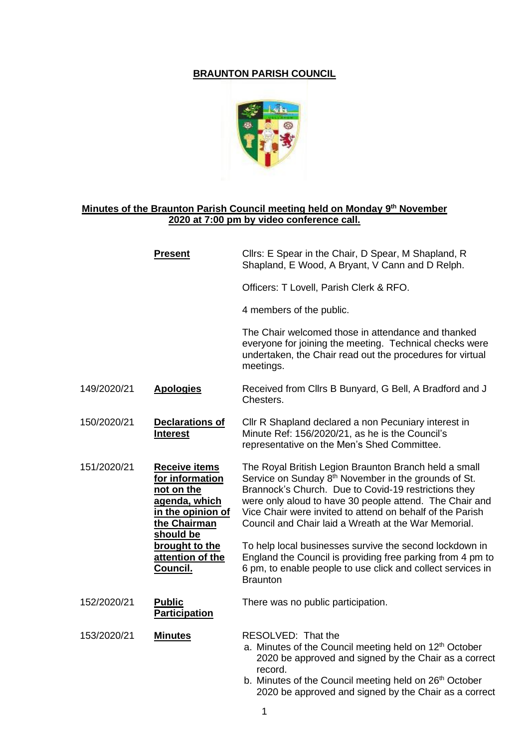## **BRAUNTON PARISH COUNCIL**



## **Minutes of the Braunton Parish Council meeting held on Monday 9 th November 2020 at 7:00 pm by video conference call.**

|             | <b>Present</b>                                                                                                           | Cllrs: E Spear in the Chair, D Spear, M Shapland, R<br>Shapland, E Wood, A Bryant, V Cann and D Relph.                                                                                                                                                                                                                                                            |
|-------------|--------------------------------------------------------------------------------------------------------------------------|-------------------------------------------------------------------------------------------------------------------------------------------------------------------------------------------------------------------------------------------------------------------------------------------------------------------------------------------------------------------|
|             |                                                                                                                          | Officers: T Lovell, Parish Clerk & RFO.                                                                                                                                                                                                                                                                                                                           |
|             |                                                                                                                          | 4 members of the public.                                                                                                                                                                                                                                                                                                                                          |
|             |                                                                                                                          | The Chair welcomed those in attendance and thanked<br>everyone for joining the meeting. Technical checks were<br>undertaken, the Chair read out the procedures for virtual<br>meetings.                                                                                                                                                                           |
| 149/2020/21 | <b>Apologies</b>                                                                                                         | Received from Cllrs B Bunyard, G Bell, A Bradford and J<br>Chesters.                                                                                                                                                                                                                                                                                              |
| 150/2020/21 | <b>Declarations of</b><br><b>Interest</b>                                                                                | Cllr R Shapland declared a non Pecuniary interest in<br>Minute Ref: 156/2020/21, as he is the Council's<br>representative on the Men's Shed Committee.                                                                                                                                                                                                            |
| 151/2020/21 | <b>Receive items</b><br>for information<br>not on the<br>agenda, which<br>in the opinion of<br>the Chairman<br>should be | The Royal British Legion Braunton Branch held a small<br>Service on Sunday 8 <sup>th</sup> November in the grounds of St.<br>Brannock's Church. Due to Covid-19 restrictions they<br>were only aloud to have 30 people attend. The Chair and<br>Vice Chair were invited to attend on behalf of the Parish<br>Council and Chair laid a Wreath at the War Memorial. |
|             | brought to the<br>attention of the<br>Council.                                                                           | To help local businesses survive the second lockdown in<br>England the Council is providing free parking from 4 pm to<br>6 pm, to enable people to use click and collect services in<br><b>Braunton</b>                                                                                                                                                           |
| 152/2020/21 | <b>Public</b><br><b>Participation</b>                                                                                    | There was no public participation.                                                                                                                                                                                                                                                                                                                                |
| 153/2020/21 | <b>Minutes</b>                                                                                                           | RESOLVED: That the<br>a. Minutes of the Council meeting held on 12 <sup>th</sup> October<br>2020 be approved and signed by the Chair as a correct<br>record.<br>b. Minutes of the Council meeting held on 26 <sup>th</sup> October                                                                                                                                |

2020 be approved and signed by the Chair as a correct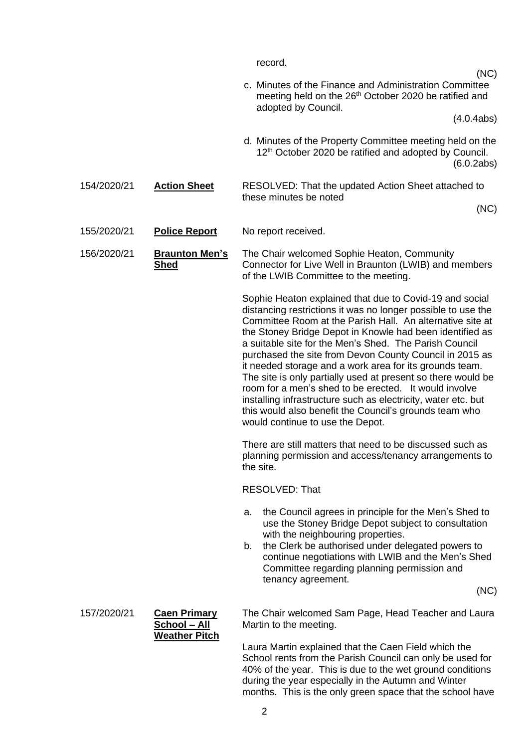|                                                                            | record.                                                                                                                                                                                                                                                                                                                                                                                                                                                                                                                                                                                                                                                                                                                  |
|----------------------------------------------------------------------------|--------------------------------------------------------------------------------------------------------------------------------------------------------------------------------------------------------------------------------------------------------------------------------------------------------------------------------------------------------------------------------------------------------------------------------------------------------------------------------------------------------------------------------------------------------------------------------------------------------------------------------------------------------------------------------------------------------------------------|
|                                                                            | (NC)<br>c. Minutes of the Finance and Administration Committee<br>meeting held on the 26 <sup>th</sup> October 2020 be ratified and                                                                                                                                                                                                                                                                                                                                                                                                                                                                                                                                                                                      |
|                                                                            | adopted by Council.<br>(4.0.4abs)                                                                                                                                                                                                                                                                                                                                                                                                                                                                                                                                                                                                                                                                                        |
|                                                                            | d. Minutes of the Property Committee meeting held on the<br>12 <sup>th</sup> October 2020 be ratified and adopted by Council.<br>(6.0.2ab)                                                                                                                                                                                                                                                                                                                                                                                                                                                                                                                                                                               |
| <b>Action Sheet</b><br>154/2020/21                                         | RESOLVED: That the updated Action Sheet attached to<br>these minutes be noted<br>(NC)                                                                                                                                                                                                                                                                                                                                                                                                                                                                                                                                                                                                                                    |
| 155/2020/21<br><b>Police Report</b>                                        | No report received.                                                                                                                                                                                                                                                                                                                                                                                                                                                                                                                                                                                                                                                                                                      |
|                                                                            |                                                                                                                                                                                                                                                                                                                                                                                                                                                                                                                                                                                                                                                                                                                          |
| 156/2020/21<br><b>Braunton Men's</b><br><b>Shed</b>                        | The Chair welcomed Sophie Heaton, Community<br>Connector for Live Well in Braunton (LWIB) and members<br>of the LWIB Committee to the meeting.                                                                                                                                                                                                                                                                                                                                                                                                                                                                                                                                                                           |
|                                                                            | Sophie Heaton explained that due to Covid-19 and social<br>distancing restrictions it was no longer possible to use the<br>Committee Room at the Parish Hall. An alternative site at<br>the Stoney Bridge Depot in Knowle had been identified as<br>a suitable site for the Men's Shed. The Parish Council<br>purchased the site from Devon County Council in 2015 as<br>it needed storage and a work area for its grounds team.<br>The site is only partially used at present so there would be<br>room for a men's shed to be erected. It would involve<br>installing infrastructure such as electricity, water etc. but<br>this would also benefit the Council's grounds team who<br>would continue to use the Depot. |
|                                                                            | There are still matters that need to be discussed such as<br>planning permission and access/tenancy arrangements to<br>the site.                                                                                                                                                                                                                                                                                                                                                                                                                                                                                                                                                                                         |
|                                                                            | <b>RESOLVED: That</b>                                                                                                                                                                                                                                                                                                                                                                                                                                                                                                                                                                                                                                                                                                    |
|                                                                            | the Council agrees in principle for the Men's Shed to<br>а.<br>use the Stoney Bridge Depot subject to consultation<br>with the neighbouring properties.<br>the Clerk be authorised under delegated powers to<br>b.<br>continue negotiations with LWIB and the Men's Shed<br>Committee regarding planning permission and<br>tenancy agreement.                                                                                                                                                                                                                                                                                                                                                                            |
|                                                                            | (NC)                                                                                                                                                                                                                                                                                                                                                                                                                                                                                                                                                                                                                                                                                                                     |
| 157/2020/21<br><b>Caen Primary</b><br>School - All<br><b>Weather Pitch</b> | The Chair welcomed Sam Page, Head Teacher and Laura<br>Martin to the meeting.                                                                                                                                                                                                                                                                                                                                                                                                                                                                                                                                                                                                                                            |
|                                                                            | Laura Martin explained that the Caen Field which the<br>School rents from the Parish Council can only be used for<br>40% of the year. This is due to the wet ground conditions<br>during the year especially in the Autumn and Winter                                                                                                                                                                                                                                                                                                                                                                                                                                                                                    |

months. This is the only green space that the school have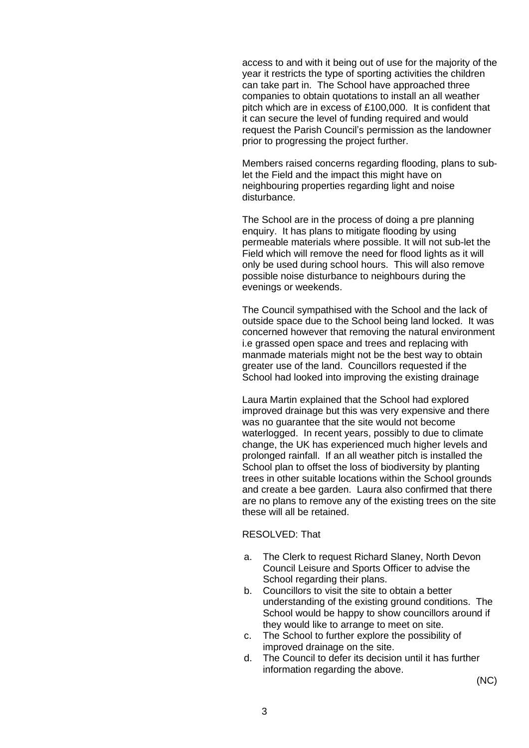access to and with it being out of use for the majority of the year it restricts the type of sporting activities the children can take part in. The School have approached three companies to obtain quotations to install an all weather pitch which are in excess of £100,000. It is confident that it can secure the level of funding required and would request the Parish Council's permission as the landowner prior to progressing the project further.

Members raised concerns regarding flooding, plans to sublet the Field and the impact this might have on neighbouring properties regarding light and noise disturbance.

The School are in the process of doing a pre planning enquiry. It has plans to mitigate flooding by using permeable materials where possible. It will not sub-let the Field which will remove the need for flood lights as it will only be used during school hours. This will also remove possible noise disturbance to neighbours during the evenings or weekends.

The Council sympathised with the School and the lack of outside space due to the School being land locked. It was concerned however that removing the natural environment i.e grassed open space and trees and replacing with manmade materials might not be the best way to obtain greater use of the land. Councillors requested if the School had looked into improving the existing drainage

Laura Martin explained that the School had explored improved drainage but this was very expensive and there was no guarantee that the site would not become waterlogged. In recent years, possibly to due to climate change, the UK has experienced much higher levels and prolonged rainfall. If an all weather pitch is installed the School plan to offset the loss of biodiversity by planting trees in other suitable locations within the School grounds and create a bee garden. Laura also confirmed that there are no plans to remove any of the existing trees on the site these will all be retained.

## RESOLVED: That

- a. The Clerk to request Richard Slaney, North Devon Council Leisure and Sports Officer to advise the School regarding their plans.
- b. Councillors to visit the site to obtain a better understanding of the existing ground conditions. The School would be happy to show councillors around if they would like to arrange to meet on site.
- c. The School to further explore the possibility of improved drainage on the site.
- d. The Council to defer its decision until it has further information regarding the above.

(NC)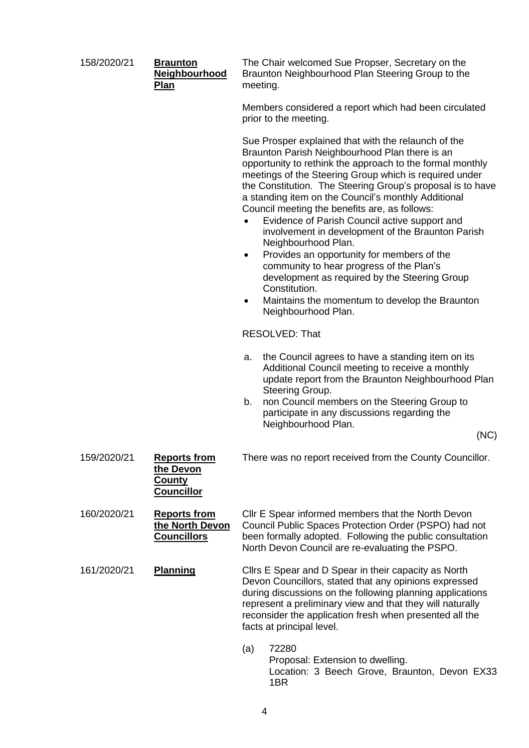| 158/2020/21 | <b>Braunton</b><br><b>Neighbourhood</b><br>Plan                        | The Chair welcomed Sue Propser, Secretary on the<br>Braunton Neighbourhood Plan Steering Group to the<br>meeting.                                                                                                                                                                                                                                                                                                                                                                                                                                                                                                                                                                                                                                                                              |
|-------------|------------------------------------------------------------------------|------------------------------------------------------------------------------------------------------------------------------------------------------------------------------------------------------------------------------------------------------------------------------------------------------------------------------------------------------------------------------------------------------------------------------------------------------------------------------------------------------------------------------------------------------------------------------------------------------------------------------------------------------------------------------------------------------------------------------------------------------------------------------------------------|
|             |                                                                        | Members considered a report which had been circulated<br>prior to the meeting.                                                                                                                                                                                                                                                                                                                                                                                                                                                                                                                                                                                                                                                                                                                 |
|             |                                                                        | Sue Prosper explained that with the relaunch of the<br>Braunton Parish Neighbourhood Plan there is an<br>opportunity to rethink the approach to the formal monthly<br>meetings of the Steering Group which is required under<br>the Constitution. The Steering Group's proposal is to have<br>a standing item on the Council's monthly Additional<br>Council meeting the benefits are, as follows:<br>Evidence of Parish Council active support and<br>involvement in development of the Braunton Parish<br>Neighbourhood Plan.<br>Provides an opportunity for members of the<br>$\bullet$<br>community to hear progress of the Plan's<br>development as required by the Steering Group<br>Constitution.<br>Maintains the momentum to develop the Braunton<br>$\bullet$<br>Neighbourhood Plan. |
|             |                                                                        | <b>RESOLVED: That</b>                                                                                                                                                                                                                                                                                                                                                                                                                                                                                                                                                                                                                                                                                                                                                                          |
|             |                                                                        | the Council agrees to have a standing item on its<br>a.<br>Additional Council meeting to receive a monthly<br>update report from the Braunton Neighbourhood Plan<br>Steering Group.<br>non Council members on the Steering Group to<br>b.<br>participate in any discussions regarding the<br>Neighbourhood Plan.<br>(NC)                                                                                                                                                                                                                                                                                                                                                                                                                                                                       |
|             |                                                                        |                                                                                                                                                                                                                                                                                                                                                                                                                                                                                                                                                                                                                                                                                                                                                                                                |
| 159/2020/21 | <b>Reports from</b><br>the Devon<br><u>County</u><br><b>Councillor</b> | There was no report received from the County Councillor.                                                                                                                                                                                                                                                                                                                                                                                                                                                                                                                                                                                                                                                                                                                                       |
| 160/2020/21 | <b>Reports from</b><br>the North Devon<br><b>Councillors</b>           | Cllr E Spear informed members that the North Devon<br>Council Public Spaces Protection Order (PSPO) had not<br>been formally adopted. Following the public consultation<br>North Devon Council are re-evaluating the PSPO.                                                                                                                                                                                                                                                                                                                                                                                                                                                                                                                                                                     |
| 161/2020/21 | <b>Planning</b>                                                        | Cllrs E Spear and D Spear in their capacity as North<br>Devon Councillors, stated that any opinions expressed<br>during discussions on the following planning applications<br>represent a preliminary view and that they will naturally<br>reconsider the application fresh when presented all the<br>facts at principal level.                                                                                                                                                                                                                                                                                                                                                                                                                                                                |
|             |                                                                        | 72280<br>(a)<br>Proposal: Extension to dwelling.<br>Location: 3 Beech Grove, Braunton, Devon EX33<br>1BR                                                                                                                                                                                                                                                                                                                                                                                                                                                                                                                                                                                                                                                                                       |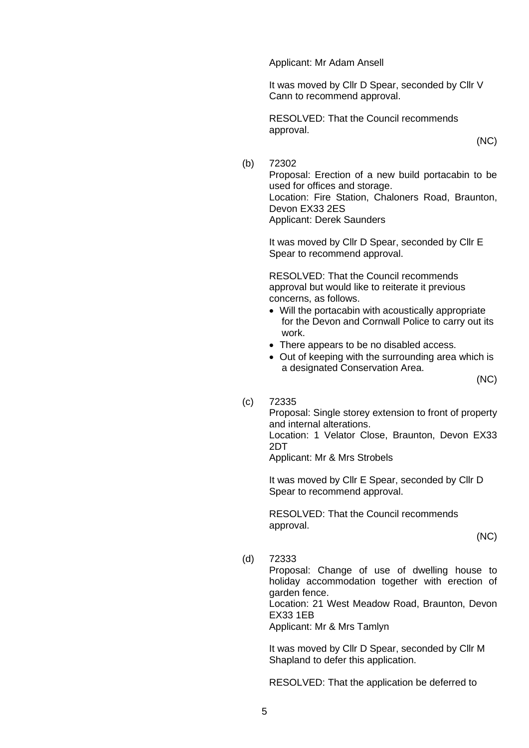Applicant: Mr Adam Ansell

It was moved by Cllr D Spear, seconded by Cllr V Cann to recommend approval.

RESOLVED: That the Council recommends approval.

(NC)

(b) 72302

Proposal: Erection of a new build portacabin to be used for offices and storage. Location: Fire Station, Chaloners Road, Braunton, Devon EX33 2ES Applicant: Derek Saunders

It was moved by Cllr D Spear, seconded by Cllr E Spear to recommend approval.

RESOLVED: That the Council recommends approval but would like to reiterate it previous concerns, as follows.

- Will the portacabin with acoustically appropriate for the Devon and Cornwall Police to carry out its work.
- There appears to be no disabled access.
- Out of keeping with the surrounding area which is a designated Conservation Area.

(NC)

## (c) 72335

Proposal: Single storey extension to front of property and internal alterations.

Location: 1 Velator Close, Braunton, Devon EX33 2DT

Applicant: Mr & Mrs Strobels

It was moved by Cllr E Spear, seconded by Cllr D Spear to recommend approval.

RESOLVED: That the Council recommends approval.

(NC)

(d) 72333

Proposal: Change of use of dwelling house to holiday accommodation together with erection of garden fence.

Location: 21 West Meadow Road, Braunton, Devon EX33 1EB

Applicant: Mr & Mrs Tamlyn

It was moved by Cllr D Spear, seconded by Cllr M Shapland to defer this application.

RESOLVED: That the application be deferred to